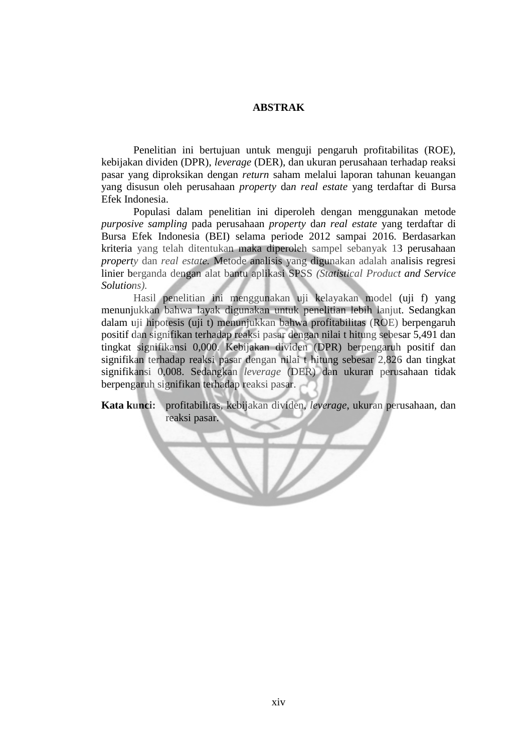## **ABSTRAK**

Penelitian ini bertujuan untuk menguji pengaruh profitabilitas (ROE), kebijakan dividen (DPR), *leverage* (DER), dan ukuran perusahaan terhadap reaksi pasar yang diproksikan dengan *return* saham melalui laporan tahunan keuangan yang disusun oleh perusahaan *property* da*n real estate* yang terdaftar di Bursa Efek Indonesia.

Populasi dalam penelitian ini diperoleh dengan menggunakan metode *purposive sampling* pada perusahaan *property* da*n real estate* yang terdaftar di Bursa Efek Indonesia (BEI) selama periode 2012 sampai 2016. Berdasarkan kriteria yang telah ditentukan maka diperoleh sampel sebanyak 13 perusahaan *property* dan *real estate.* Metode analisis yang digunakan adalah analisis regresi linier berganda dengan alat bantu aplikasi SPSS *(Statistical Product and Service Solutions).* 

Hasil penelitian ini menggunakan uji kelayakan model (uji f) yang menunjukkan bahwa layak digunakan untuk penelitian lebih lanjut. Sedangkan dalam uji hipotesis (uji t) menunjukkan bahwa profitabilitas (ROE) berpengaruh positif dan signifikan terhadap reaksi pasar dengan nilai t hitung sebesar 5,491 dan tingkat signifikansi 0,000. Kebijakan dividen (DPR) berpengaruh positif dan signifikan terhadap reaksi pasar dengan nilai t hitung sebesar 2,826 dan tingkat signifikansi 0,008. Sedangkan *leverage* (DER) dan ukuran perusahaan tidak berpengaruh signifikan terhadap reaksi pasar.

**Kata kunci:** profitabilitas, kebijakan dividen, *leverage*, ukuran perusahaan, dan reaksi pasar.